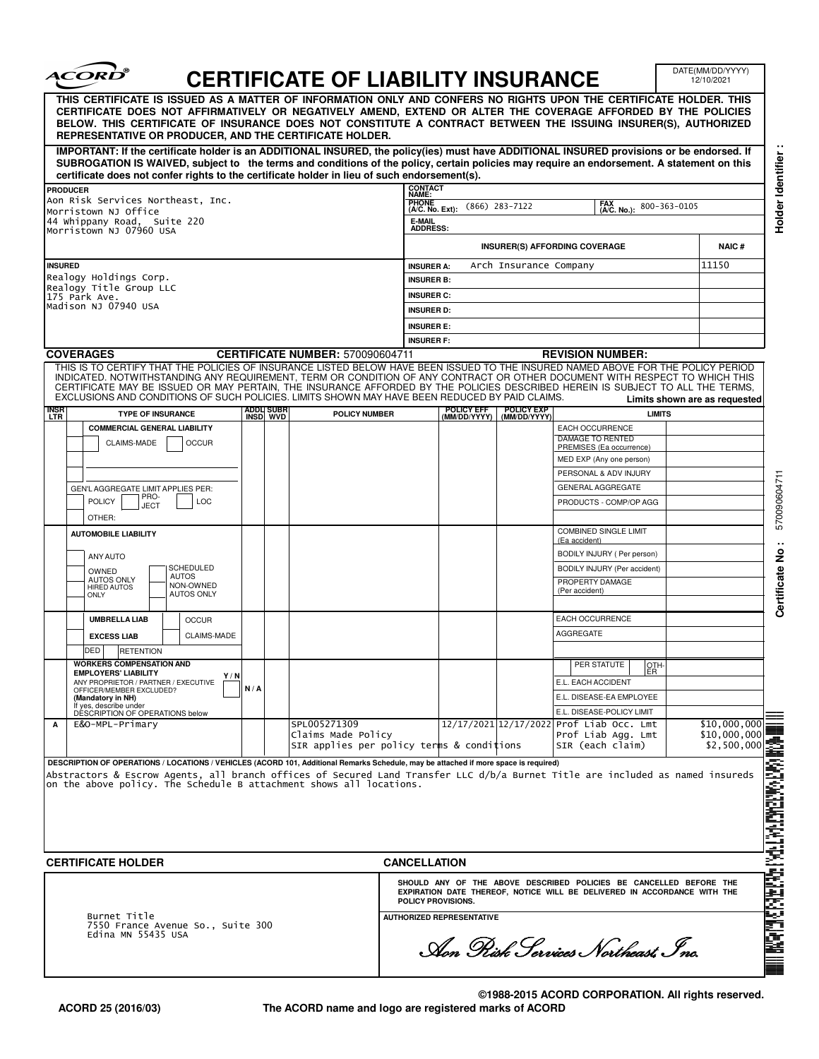| certificate does not confer rights to the certificate holder in lieu of such endorsement(s).<br><b>CONTACT</b><br>NAME:<br><b>PHONE</b><br>(A/C. No. Ext):<br>E-MAIL<br><b>ADDRESS:</b><br><b>INSURER A:</b><br><b>INSURER B:</b> | $(866)$ 283-7122<br>Arch Insurance Company                           | THIS CERTIFICATE IS ISSUED AS A MATTER OF INFORMATION ONLY AND CONFERS NO RIGHTS UPON THE CERTIFICATE HOLDER. THIS<br>CERTIFICATE DOES NOT AFFIRMATIVELY OR NEGATIVELY AMEND, EXTEND OR ALTER THE COVERAGE AFFORDED BY THE POLICIES<br>BELOW. THIS CERTIFICATE OF INSURANCE DOES NOT CONSTITUTE A CONTRACT BETWEEN THE ISSUING INSURER(S), AUTHORIZED<br>IMPORTANT: If the certificate holder is an ADDITIONAL INSURED, the policy(ies) must have ADDITIONAL INSURED provisions or be endorsed. If<br>SUBROGATION IS WAIVED, subject to the terms and conditions of the policy, certain policies may require an endorsement. A statement on this<br>FAX<br>(A/C. No.):<br><b>INSURER(S) AFFORDING COVERAGE</b> | 800-363-0105<br><b>NAIC#</b>                                                                                                                                                                                                                                                                                                                                                                                                                                                                                                                                                                                                                                                                                                                                                                                                      |
|-----------------------------------------------------------------------------------------------------------------------------------------------------------------------------------------------------------------------------------|----------------------------------------------------------------------|----------------------------------------------------------------------------------------------------------------------------------------------------------------------------------------------------------------------------------------------------------------------------------------------------------------------------------------------------------------------------------------------------------------------------------------------------------------------------------------------------------------------------------------------------------------------------------------------------------------------------------------------------------------------------------------------------------------|-----------------------------------------------------------------------------------------------------------------------------------------------------------------------------------------------------------------------------------------------------------------------------------------------------------------------------------------------------------------------------------------------------------------------------------------------------------------------------------------------------------------------------------------------------------------------------------------------------------------------------------------------------------------------------------------------------------------------------------------------------------------------------------------------------------------------------------|
|                                                                                                                                                                                                                                   |                                                                      |                                                                                                                                                                                                                                                                                                                                                                                                                                                                                                                                                                                                                                                                                                                |                                                                                                                                                                                                                                                                                                                                                                                                                                                                                                                                                                                                                                                                                                                                                                                                                                   |
|                                                                                                                                                                                                                                   |                                                                      |                                                                                                                                                                                                                                                                                                                                                                                                                                                                                                                                                                                                                                                                                                                |                                                                                                                                                                                                                                                                                                                                                                                                                                                                                                                                                                                                                                                                                                                                                                                                                                   |
|                                                                                                                                                                                                                                   |                                                                      |                                                                                                                                                                                                                                                                                                                                                                                                                                                                                                                                                                                                                                                                                                                |                                                                                                                                                                                                                                                                                                                                                                                                                                                                                                                                                                                                                                                                                                                                                                                                                                   |
|                                                                                                                                                                                                                                   |                                                                      |                                                                                                                                                                                                                                                                                                                                                                                                                                                                                                                                                                                                                                                                                                                |                                                                                                                                                                                                                                                                                                                                                                                                                                                                                                                                                                                                                                                                                                                                                                                                                                   |
|                                                                                                                                                                                                                                   |                                                                      |                                                                                                                                                                                                                                                                                                                                                                                                                                                                                                                                                                                                                                                                                                                |                                                                                                                                                                                                                                                                                                                                                                                                                                                                                                                                                                                                                                                                                                                                                                                                                                   |
|                                                                                                                                                                                                                                   |                                                                      |                                                                                                                                                                                                                                                                                                                                                                                                                                                                                                                                                                                                                                                                                                                |                                                                                                                                                                                                                                                                                                                                                                                                                                                                                                                                                                                                                                                                                                                                                                                                                                   |
|                                                                                                                                                                                                                                   |                                                                      |                                                                                                                                                                                                                                                                                                                                                                                                                                                                                                                                                                                                                                                                                                                | 11150                                                                                                                                                                                                                                                                                                                                                                                                                                                                                                                                                                                                                                                                                                                                                                                                                             |
|                                                                                                                                                                                                                                   |                                                                      |                                                                                                                                                                                                                                                                                                                                                                                                                                                                                                                                                                                                                                                                                                                |                                                                                                                                                                                                                                                                                                                                                                                                                                                                                                                                                                                                                                                                                                                                                                                                                                   |
| <b>INSURER C:</b><br><b>INSURER D:</b>                                                                                                                                                                                            |                                                                      |                                                                                                                                                                                                                                                                                                                                                                                                                                                                                                                                                                                                                                                                                                                |                                                                                                                                                                                                                                                                                                                                                                                                                                                                                                                                                                                                                                                                                                                                                                                                                                   |
|                                                                                                                                                                                                                                   |                                                                      |                                                                                                                                                                                                                                                                                                                                                                                                                                                                                                                                                                                                                                                                                                                |                                                                                                                                                                                                                                                                                                                                                                                                                                                                                                                                                                                                                                                                                                                                                                                                                                   |
|                                                                                                                                                                                                                                   |                                                                      |                                                                                                                                                                                                                                                                                                                                                                                                                                                                                                                                                                                                                                                                                                                |                                                                                                                                                                                                                                                                                                                                                                                                                                                                                                                                                                                                                                                                                                                                                                                                                                   |
| <b>CERTIFICATE NUMBER: 570090604711</b>                                                                                                                                                                                           |                                                                      |                                                                                                                                                                                                                                                                                                                                                                                                                                                                                                                                                                                                                                                                                                                |                                                                                                                                                                                                                                                                                                                                                                                                                                                                                                                                                                                                                                                                                                                                                                                                                                   |
|                                                                                                                                                                                                                                   |                                                                      |                                                                                                                                                                                                                                                                                                                                                                                                                                                                                                                                                                                                                                                                                                                | Limits shown are as requested                                                                                                                                                                                                                                                                                                                                                                                                                                                                                                                                                                                                                                                                                                                                                                                                     |
|                                                                                                                                                                                                                                   |                                                                      |                                                                                                                                                                                                                                                                                                                                                                                                                                                                                                                                                                                                                                                                                                                |                                                                                                                                                                                                                                                                                                                                                                                                                                                                                                                                                                                                                                                                                                                                                                                                                                   |
|                                                                                                                                                                                                                                   |                                                                      | EACH OCCURRENCE                                                                                                                                                                                                                                                                                                                                                                                                                                                                                                                                                                                                                                                                                                |                                                                                                                                                                                                                                                                                                                                                                                                                                                                                                                                                                                                                                                                                                                                                                                                                                   |
|                                                                                                                                                                                                                                   |                                                                      | PREMISES (Ea occurrence)                                                                                                                                                                                                                                                                                                                                                                                                                                                                                                                                                                                                                                                                                       |                                                                                                                                                                                                                                                                                                                                                                                                                                                                                                                                                                                                                                                                                                                                                                                                                                   |
|                                                                                                                                                                                                                                   |                                                                      | MED EXP (Any one person)                                                                                                                                                                                                                                                                                                                                                                                                                                                                                                                                                                                                                                                                                       |                                                                                                                                                                                                                                                                                                                                                                                                                                                                                                                                                                                                                                                                                                                                                                                                                                   |
|                                                                                                                                                                                                                                   |                                                                      |                                                                                                                                                                                                                                                                                                                                                                                                                                                                                                                                                                                                                                                                                                                |                                                                                                                                                                                                                                                                                                                                                                                                                                                                                                                                                                                                                                                                                                                                                                                                                                   |
|                                                                                                                                                                                                                                   |                                                                      |                                                                                                                                                                                                                                                                                                                                                                                                                                                                                                                                                                                                                                                                                                                |                                                                                                                                                                                                                                                                                                                                                                                                                                                                                                                                                                                                                                                                                                                                                                                                                                   |
|                                                                                                                                                                                                                                   |                                                                      |                                                                                                                                                                                                                                                                                                                                                                                                                                                                                                                                                                                                                                                                                                                |                                                                                                                                                                                                                                                                                                                                                                                                                                                                                                                                                                                                                                                                                                                                                                                                                                   |
|                                                                                                                                                                                                                                   |                                                                      | <b>COMBINED SINGLE LIMIT</b>                                                                                                                                                                                                                                                                                                                                                                                                                                                                                                                                                                                                                                                                                   |                                                                                                                                                                                                                                                                                                                                                                                                                                                                                                                                                                                                                                                                                                                                                                                                                                   |
|                                                                                                                                                                                                                                   |                                                                      |                                                                                                                                                                                                                                                                                                                                                                                                                                                                                                                                                                                                                                                                                                                |                                                                                                                                                                                                                                                                                                                                                                                                                                                                                                                                                                                                                                                                                                                                                                                                                                   |
|                                                                                                                                                                                                                                   |                                                                      | BODILY INJURY (Per accident)                                                                                                                                                                                                                                                                                                                                                                                                                                                                                                                                                                                                                                                                                   |                                                                                                                                                                                                                                                                                                                                                                                                                                                                                                                                                                                                                                                                                                                                                                                                                                   |
|                                                                                                                                                                                                                                   |                                                                      | PROPERTY DAMAGE<br>(Per accident)                                                                                                                                                                                                                                                                                                                                                                                                                                                                                                                                                                                                                                                                              |                                                                                                                                                                                                                                                                                                                                                                                                                                                                                                                                                                                                                                                                                                                                                                                                                                   |
|                                                                                                                                                                                                                                   |                                                                      | <b>EACH OCCURRENCE</b>                                                                                                                                                                                                                                                                                                                                                                                                                                                                                                                                                                                                                                                                                         |                                                                                                                                                                                                                                                                                                                                                                                                                                                                                                                                                                                                                                                                                                                                                                                                                                   |
|                                                                                                                                                                                                                                   |                                                                      | <b>AGGREGATE</b>                                                                                                                                                                                                                                                                                                                                                                                                                                                                                                                                                                                                                                                                                               |                                                                                                                                                                                                                                                                                                                                                                                                                                                                                                                                                                                                                                                                                                                                                                                                                                   |
|                                                                                                                                                                                                                                   |                                                                      |                                                                                                                                                                                                                                                                                                                                                                                                                                                                                                                                                                                                                                                                                                                |                                                                                                                                                                                                                                                                                                                                                                                                                                                                                                                                                                                                                                                                                                                                                                                                                                   |
|                                                                                                                                                                                                                                   |                                                                      | PER STATUTE<br>OTH-                                                                                                                                                                                                                                                                                                                                                                                                                                                                                                                                                                                                                                                                                            |                                                                                                                                                                                                                                                                                                                                                                                                                                                                                                                                                                                                                                                                                                                                                                                                                                   |
|                                                                                                                                                                                                                                   |                                                                      | E.L. EACH ACCIDENT                                                                                                                                                                                                                                                                                                                                                                                                                                                                                                                                                                                                                                                                                             |                                                                                                                                                                                                                                                                                                                                                                                                                                                                                                                                                                                                                                                                                                                                                                                                                                   |
|                                                                                                                                                                                                                                   |                                                                      |                                                                                                                                                                                                                                                                                                                                                                                                                                                                                                                                                                                                                                                                                                                |                                                                                                                                                                                                                                                                                                                                                                                                                                                                                                                                                                                                                                                                                                                                                                                                                                   |
|                                                                                                                                                                                                                                   |                                                                      |                                                                                                                                                                                                                                                                                                                                                                                                                                                                                                                                                                                                                                                                                                                | \$10,000,000                                                                                                                                                                                                                                                                                                                                                                                                                                                                                                                                                                                                                                                                                                                                                                                                                      |
|                                                                                                                                                                                                                                   |                                                                      | Prof Liab Agg. Lmt                                                                                                                                                                                                                                                                                                                                                                                                                                                                                                                                                                                                                                                                                             | \$10,000,000<br>4000 647 ANGEMAN OAT TAG BAGANGA SA KABING MA<br>\$2,500,000                                                                                                                                                                                                                                                                                                                                                                                                                                                                                                                                                                                                                                                                                                                                                      |
| Abstractors & Escrow Agents, all branch offices of Secured Land Transfer LLC d/b/a Burnet Title are included as named insureds                                                                                                    | <b>INSURER E:</b><br><b>INSURER F:</b><br>POLICY EFF<br>(MM/DD/YYYY) | POLICY EXP<br>(MM/DD/YYYY)<br>SIR applies per policy terms & conditions<br>DESCRIPTION OF OPERATIONS / LOCATIONS / VEHICLES (ACORD 101, Additional Remarks Schedule, may be attached if more space is required)                                                                                                                                                                                                                                                                                                                                                                                                                                                                                                | <b>REVISION NUMBER:</b><br>THIS IS TO CERTIFY THAT THE POLICIES OF INSURANCE LISTED BELOW HAVE BEEN ISSUED TO THE INSURED NAMED ABOVE FOR THE POLICY PERIOD<br>INDICATED. NOTWITHSTANDING ANY REQUIREMENT, TERM OR CONDITION OF ANY CONTRACT OR OTHER DOCUMENT WITH RESPECT TO WHICH THIS<br>CERTIFICATE MAY BE ISSUED OR MAY PERTAIN, THE INSURANCE AFFORDED BY THE POLICIES DESCRIBED HEREIN IS SUBJECT TO ALL THE TERMS.<br>EXCLUSIONS AND CONDITIONS OF SUCH POLICIES. LIMITS SHOWN MAY HAVE BEEN REDUCED BY PAID CLAIMS.<br><b>LIMITS</b><br>DAMAGE TO RENTED<br>PERSONAL & ADV INJURY<br><b>GENERAL AGGREGATE</b><br>PRODUCTS - COMP/OP AGG<br>(Ea accident)<br>BODILY INJURY ( Per person)<br>ER.<br>E.L. DISEASE-EA EMPLOYEE<br>E.L. DISEASE-POLICY LIMIT<br>12/17/2021 12/17/2022 Prof Liab Occ. Lmt<br>SIR (each claim) |

┓

**ACORD 25 (2016/03)**

 $\sqrt{2}$ 

 $\sum_{i=1}^{n}$ 

**©1988-2015 ACORD CORPORATION. All rights reserved. The ACORD name and logo are registered marks of ACORD**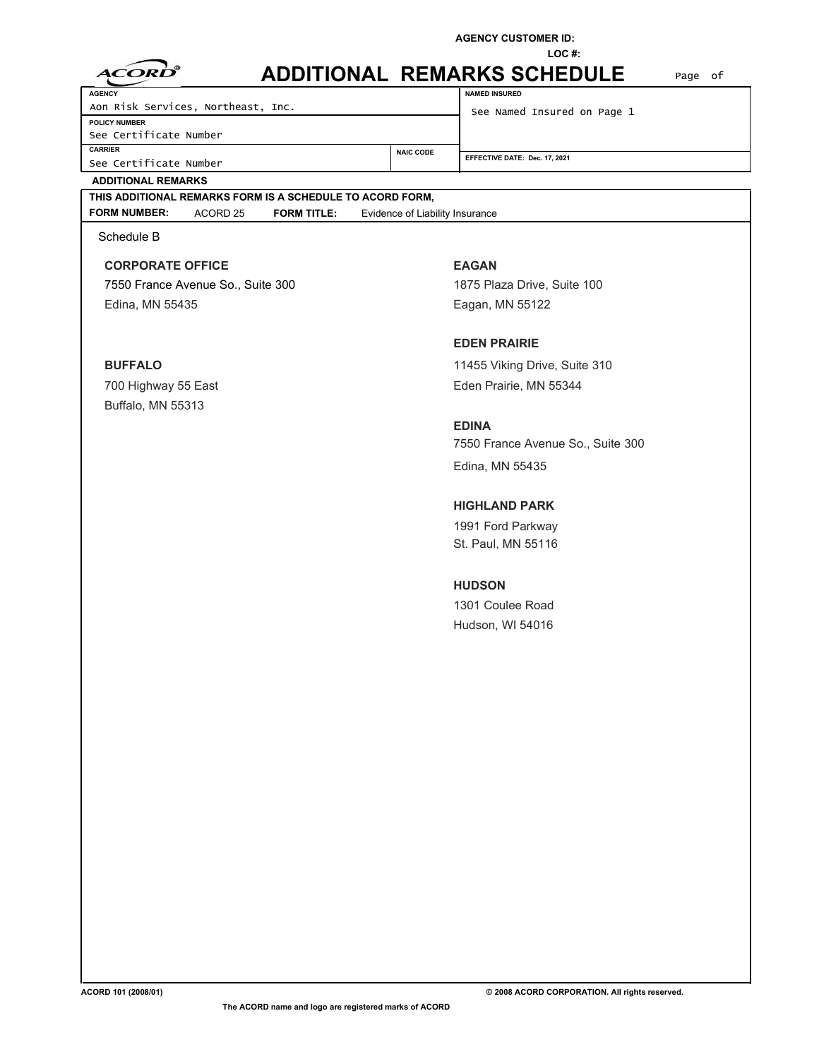**AGENCY CUSTOMER ID:** 

**LOC #:** 

| $\Delta$ |  | ORT |  |
|----------|--|-----|--|
|          |  |     |  |

## **ADDITIONAL REMARKS SCHEDULE NAMED INSURED**

**NAIC CODE** 

See Certificate Number **CARRIER**  See Certificate Number **POLICY NUMBER AGENCY**  Aon Risk Services, Northeast, Inc. See Named Insured on Page 1

Page of

| <b>POLICY NUMBER</b>   |
|------------------------|
| See Certificate Number |
| <b>CARRIER</b>         |

**EFFECTIVE DATE: Dec. 17, 2021**

### **ADDITIONAL REMARKS**

Buffalo, MN 55313

# **THIS ADDITIONAL REMARKS FORM IS A SCHEDULE TO ACORD FORM,**

**FORM NUMBER:** ACORD 25 **FORM TITLE:** Evidence of Liability Insurance

Schedule B

**CORPORATE OFFICE EAGAN** 7550 France Avenue So., Suite 300 1875 Plaza Drive, Suite 100 Edina, MN 55435 Eagan, MN 55122

## **EDEN PRAIRIE**

**BUFFALO** 11455 Viking Drive, Suite 310 700 Highway 55 East **Eden Prairie, MN 55344** 

> **EDINA** 7550 France Avenue So., Suite 300 Edina, MN 55435

### **HIGHLAND PARK**

1991 Ford Parkway St. Paul, MN 55116

## **HUDSON**

1301 Coulee Road Hudson, WI 54016